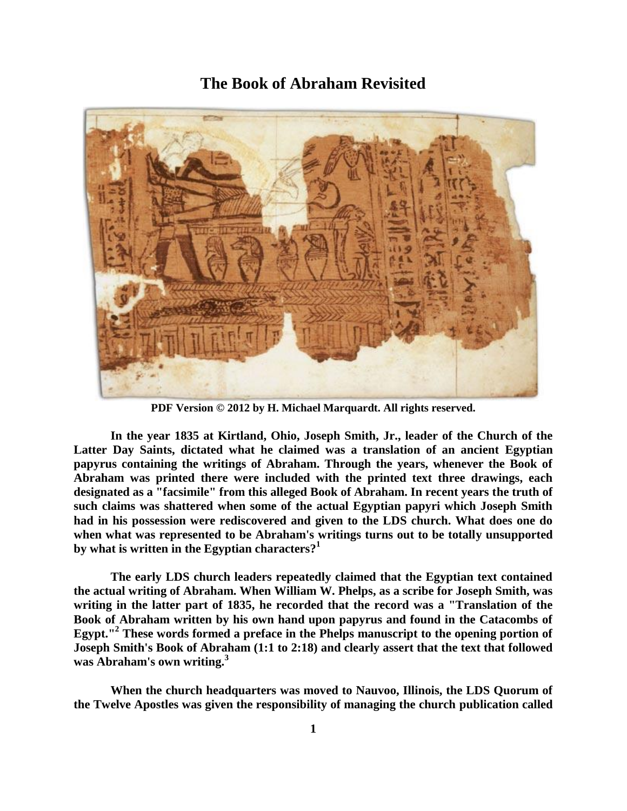# **The Book of Abraham Revisited**



**PDF Version © 2012 by H. Michael Marquardt. All rights reserved.**

**In the year 1835 at Kirtland, Ohio, Joseph Smith, Jr., leader of the Church of the Latter Day Saints, dictated what he claimed was a translation of an ancient Egyptian papyrus containing the writings of Abraham. Through the years, whenever the Book of Abraham was printed there were included with the printed text three drawings, each designated as a "facsimile" from this alleged Book of Abraham. In recent years the truth of such claims was shattered when some of the actual Egyptian papyri which Joseph Smith had in his possession were rediscovered and given to the LDS church. What does one do when what was represented to be Abraham's writings turns out to be totally unsupported by what is written in the Egyptian characters?<sup>1</sup>**

**The early LDS church leaders repeatedly claimed that the Egyptian text contained the actual writing of Abraham. When William W. Phelps, as a scribe for Joseph Smith, was writing in the latter part of 1835, he recorded that the record was a "Translation of the Book of Abraham written by his own hand upon papyrus and found in the Catacombs of Egypt."<sup>2</sup> These words formed a preface in the Phelps manuscript to the opening portion of Joseph Smith's Book of Abraham (1:1 to 2:18) and clearly assert that the text that followed was Abraham's own writing.<sup>3</sup>**

**When the church headquarters was moved to Nauvoo, Illinois, the LDS Quorum of the Twelve Apostles was given the responsibility of managing the church publication called**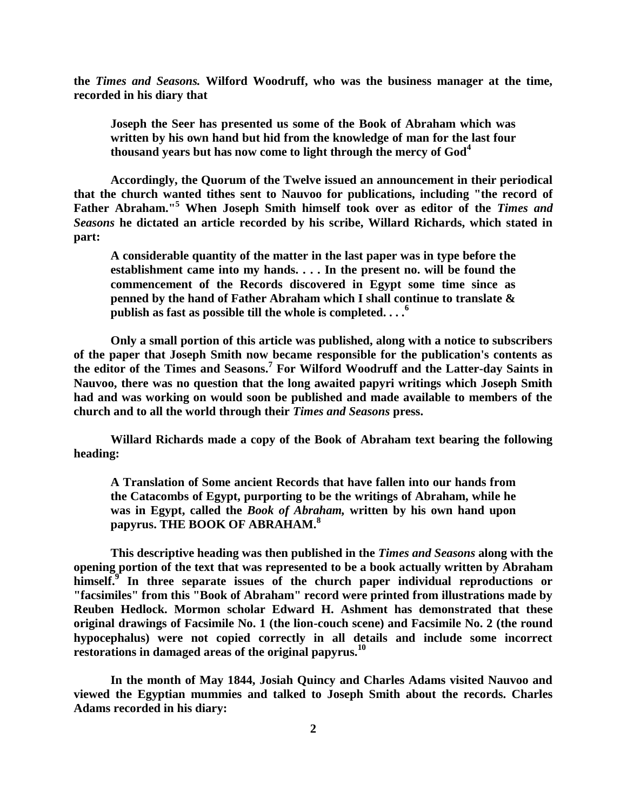**the** *Times and Seasons.* **Wilford Woodruff, who was the business manager at the time, recorded in his diary that** 

**Joseph the Seer has presented us some of the Book of Abraham which was written by his own hand but hid from the knowledge of man for the last four thousand years but has now come to light through the mercy of God<sup>4</sup>**

**Accordingly, the Quorum of the Twelve issued an announcement in their periodical that the church wanted tithes sent to Nauvoo for publications, including "the record of Father Abraham."<sup>5</sup> When Joseph Smith himself took over as editor of the** *Times and Seasons* **he dictated an article recorded by his scribe, Willard Richards, which stated in part:** 

**A considerable quantity of the matter in the last paper was in type before the establishment came into my hands. . . . In the present no. will be found the commencement of the Records discovered in Egypt some time since as penned by the hand of Father Abraham which I shall continue to translate & publish as fast as possible till the whole is completed. . . .<sup>6</sup>**

**Only a small portion of this article was published, along with a notice to subscribers of the paper that Joseph Smith now became responsible for the publication's contents as the editor of the Times and Seasons.<sup>7</sup> For Wilford Woodruff and the Latter-day Saints in Nauvoo, there was no question that the long awaited papyri writings which Joseph Smith had and was working on would soon be published and made available to members of the church and to all the world through their** *Times and Seasons* **press.** 

**Willard Richards made a copy of the Book of Abraham text bearing the following heading:** 

**A Translation of Some ancient Records that have fallen into our hands from the Catacombs of Egypt, purporting to be the writings of Abraham, while he was in Egypt, called the** *Book of Abraham,* **written by his own hand upon papyrus. THE BOOK OF ABRAHAM.<sup>8</sup>**

**This descriptive heading was then published in the** *Times and Seasons* **along with the opening portion of the text that was represented to be a book actually written by Abraham himself.<sup>9</sup> In three separate issues of the church paper individual reproductions or "facsimiles" from this "Book of Abraham" record were printed from illustrations made by Reuben Hedlock. Mormon scholar Edward H. Ashment has demonstrated that these original drawings of Facsimile No. 1 (the lion-couch scene) and Facsimile No. 2 (the round hypocephalus) were not copied correctly in all details and include some incorrect restorations in damaged areas of the original papyrus.<sup>10</sup>**

**In the month of May 1844, Josiah Quincy and Charles Adams visited Nauvoo and viewed the Egyptian mummies and talked to Joseph Smith about the records. Charles Adams recorded in his diary:**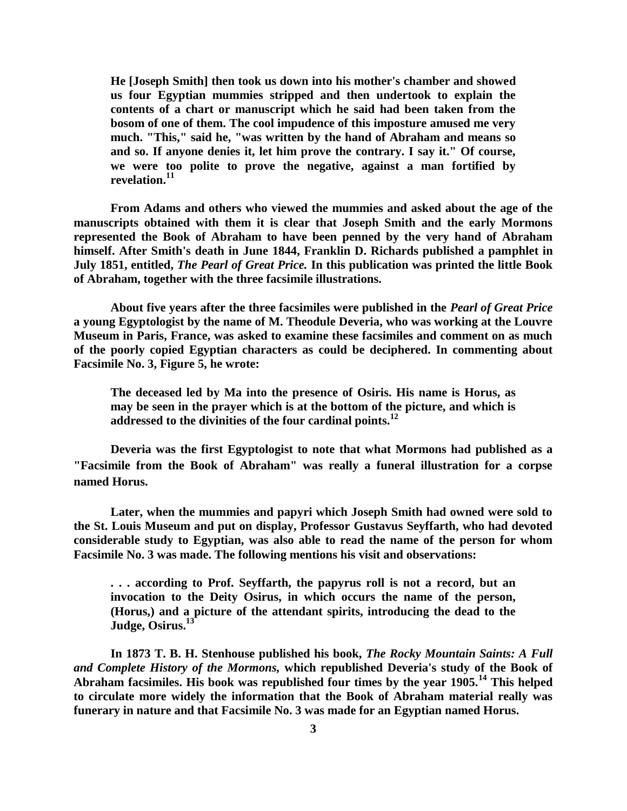**He [Joseph Smith] then took us down into his mother's chamber and showed us four Egyptian mummies stripped and then undertook to explain the contents of a chart or manuscript which he said had been taken from the bosom of one of them. The cool impudence of this imposture amused me very much. "This," said he, "was written by the hand of Abraham and means so and so. If anyone denies it, let him prove the contrary. I say it." Of course, we were too polite to prove the negative, against a man fortified by revelation.<sup>11</sup>**

**From Adams and others who viewed the mummies and asked about the age of the manuscripts obtained with them it is clear that Joseph Smith and the early Mormons represented the Book of Abraham to have been penned by the very hand of Abraham himself. After Smith's death in June 1844, Franklin D. Richards published a pamphlet in July 1851, entitled,** *The Pearl of Great Price.* **In this publication was printed the little Book of Abraham, together with the three facsimile illustrations.** 

**About five years after the three facsimiles were published in the** *Pearl of Great Price* **a young Egyptologist by the name of M. Theodule Deveria, who was working at the Louvre Museum in Paris, France, was asked to examine these facsimiles and comment on as much of the poorly copied Egyptian characters as could be deciphered. In commenting about Facsimile No. 3, Figure 5, he wrote:** 

**The deceased led by Ma into the presence of Osiris. His name is Horus, as may be seen in the prayer which is at the bottom of the picture, and which is addressed to the divinities of the four cardinal points.<sup>12</sup>**

**Deveria was the first Egyptologist to note that what Mormons had published as a "Facsimile from the Book of Abraham" was really a funeral illustration for a corpse named Horus.** 

**Later, when the mummies and papyri which Joseph Smith had owned were sold to the St. Louis Museum and put on display, Professor Gustavus Seyffarth, who had devoted considerable study to Egyptian, was also able to read the name of the person for whom Facsimile No. 3 was made. The following mentions his visit and observations:** 

**. . . according to Prof. Seyffarth, the papyrus roll is not a record, but an invocation to the Deity Osirus, in which occurs the name of the person, (Horus,) and a picture of the attendant spirits, introducing the dead to the Judge, Osirus.<sup>13</sup>**

**In 1873 T. B. H. Stenhouse published his book,** *The Rocky Mountain Saints: A Full and Complete History of the Mormons,* **which republished Deveria's study of the Book of Abraham facsimiles. His book was republished four times by the year 1905.<sup>14</sup> This helped to circulate more widely the information that the Book of Abraham material really was funerary in nature and that Facsimile No. 3 was made for an Egyptian named Horus.**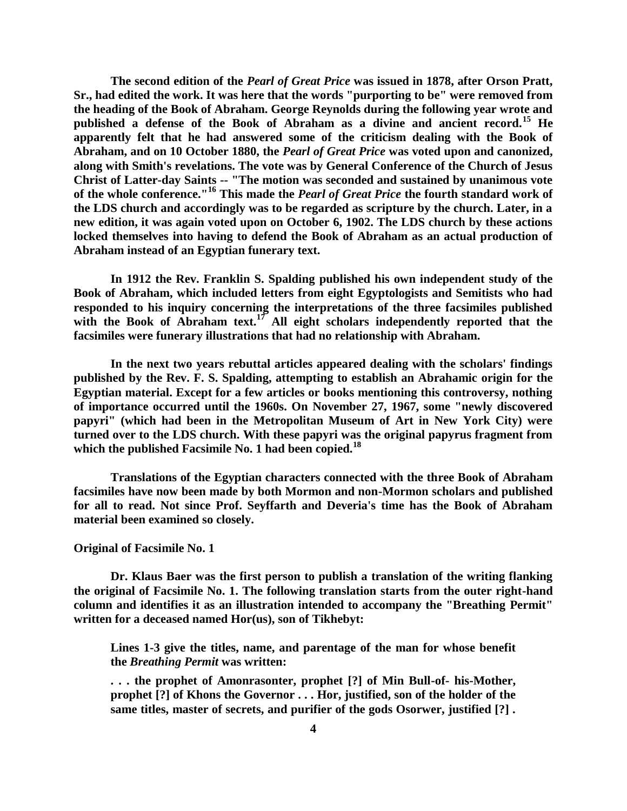**The second edition of the** *Pearl of Great Price* **was issued in 1878, after Orson Pratt, Sr., had edited the work. It was here that the words "purporting to be" were removed from the heading of the Book of Abraham. George Reynolds during the following year wrote and published a defense of the Book of Abraham as a divine and ancient record.<sup>15</sup> He apparently felt that he had answered some of the criticism dealing with the Book of Abraham, and on 10 October 1880, the** *Pearl of Great Price* **was voted upon and canonized, along with Smith's revelations. The vote was by General Conference of the Church of Jesus Christ of Latter-day Saints -- "The motion was seconded and sustained by unanimous vote of the whole conference."<sup>16</sup> This made the** *Pearl of Great Price* **the fourth standard work of the LDS church and accordingly was to be regarded as scripture by the church. Later, in a new edition, it was again voted upon on October 6, 1902. The LDS church by these actions locked themselves into having to defend the Book of Abraham as an actual production of Abraham instead of an Egyptian funerary text.** 

**In 1912 the Rev. Franklin S. Spalding published his own independent study of the Book of Abraham, which included letters from eight Egyptologists and Semitists who had responded to his inquiry concerning the interpretations of the three facsimiles published**  with the Book of Abraham text.<sup>17</sup> All eight scholars independently reported that the **facsimiles were funerary illustrations that had no relationship with Abraham.** 

**In the next two years rebuttal articles appeared dealing with the scholars' findings published by the Rev. F. S. Spalding, attempting to establish an Abrahamic origin for the Egyptian material. Except for a few articles or books mentioning this controversy, nothing of importance occurred until the 1960s. On November 27, 1967, some "newly discovered papyri" (which had been in the Metropolitan Museum of Art in New York City) were turned over to the LDS church. With these papyri was the original papyrus fragment from which the published Facsimile No. 1 had been copied.<sup>18</sup>**

**Translations of the Egyptian characters connected with the three Book of Abraham facsimiles have now been made by both Mormon and non-Mormon scholars and published for all to read. Not since Prof. Seyffarth and Deveria's time has the Book of Abraham material been examined so closely.** 

## **Original of Facsimile No. 1**

**Dr. Klaus Baer was the first person to publish a translation of the writing flanking the original of Facsimile No. 1. The following translation starts from the outer right-hand column and identifies it as an illustration intended to accompany the "Breathing Permit" written for a deceased named Hor(us), son of Tikhebyt:** 

**Lines 1-3 give the titles, name, and parentage of the man for whose benefit the** *Breathing Permit* **was written:**

**. . . the prophet of Amonrasonter, prophet [?] of Min Bull-of- his-Mother, prophet [?] of Khons the Governor . . . Hor, justified, son of the holder of the same titles, master of secrets, and purifier of the gods Osorwer, justified [?] .**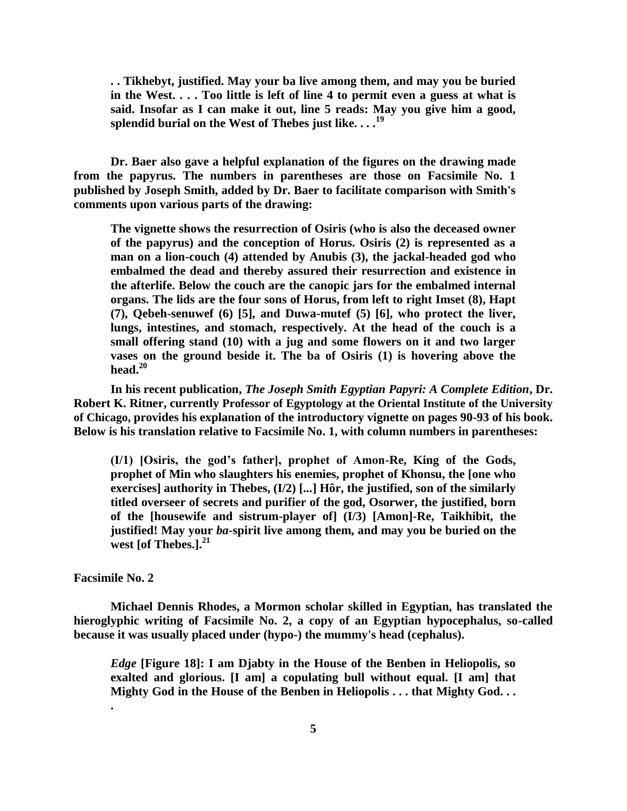**. . Tikhebyt, justified. May your ba live among them, and may you be buried in the West. . . . Too little is left of line 4 to permit even a guess at what is said. Insofar as I can make it out, line 5 reads: May you give him a good, splendid burial on the West of Thebes just like. . . .<sup>19</sup>**

**Dr. Baer also gave a helpful explanation of the figures on the drawing made from the papyrus. The numbers in parentheses are those on Facsimile No. 1 published by Joseph Smith, added by Dr. Baer to facilitate comparison with Smith's comments upon various parts of the drawing:** 

**The vignette shows the resurrection of Osiris (who is also the deceased owner of the papyrus) and the conception of Horus. Osiris (2) is represented as a man on a lion-couch (4) attended by Anubis (3), the jackal-headed god who embalmed the dead and thereby assured their resurrection and existence in the afterlife. Below the couch are the canopic jars for the embalmed internal organs. The lids are the four sons of Horus, from left to right Imset (8), Hapt (7), Qebeh-senuwef (6) [5], and Duwa-mutef (5) [6], who protect the liver, lungs, intestines, and stomach, respectively. At the head of the couch is a small offering stand (10) with a jug and some flowers on it and two larger vases on the ground beside it. The ba of Osiris (1) is hovering above the head.<sup>20</sup>**

**In his recent publication,** *The Joseph Smith Egyptian Papyri: A Complete Edition***, Dr. Robert K. Ritner, currently Professor of Egyptology at the Oriental Institute of the University of Chicago, provides his explanation of the introductory vignette on pages 90-93 of his book. Below is his translation relative to Facsimile No. 1, with column numbers in parentheses:**

**(I/1) [Osiris, the god's father], prophet of Amon-Re, King of the Gods, prophet of Min who slaughters his enemies, prophet of Khonsu, the [one who exercises] authority in Thebes, (I/2) [...] Hôr, the justified, son of the similarly titled overseer of secrets and purifier of the god, Osorwer, the justified, born of the [housewife and sistrum-player of] (I/3) [Amon]-Re, Taikhibit, the justified! May your** *ba***-spirit live among them, and may you be buried on the west [of Thebes.].<sup>21</sup>**

#### **Facsimile No. 2**

**.**

**Michael Dennis Rhodes, a Mormon scholar skilled in Egyptian, has translated the hieroglyphic writing of Facsimile No. 2, a copy of an Egyptian hypocephalus, so-called because it was usually placed under (hypo-) the mummy's head (cephalus).** 

*Edge* **[Figure 18]: I am Djabty in the House of the Benben in Heliopolis, so exalted and glorious. [I am] a copulating bull without equal. [I am] that Mighty God in the House of the Benben in Heliopolis . . . that Mighty God. . .**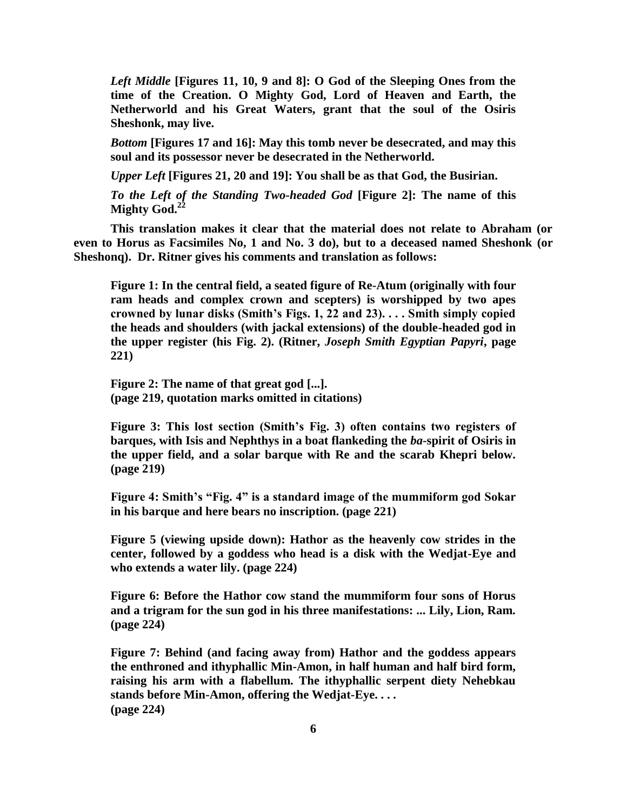*Left Middle* **[Figures 11, 10, 9 and 8]: O God of the Sleeping Ones from the time of the Creation. O Mighty God, Lord of Heaven and Earth, the Netherworld and his Great Waters, grant that the soul of the Osiris Sheshonk, may live.**

*Bottom* **[Figures 17 and 16]: May this tomb never be desecrated, and may this soul and its possessor never be desecrated in the Netherworld.**

*Upper Left* **[Figures 21, 20 and 19]: You shall be as that God, the Busirian.**

*To the Left of the Standing Two-headed God* **[Figure 2]: The name of this Mighty God.<sup>22</sup>**

**This translation makes it clear that the material does not relate to Abraham (or even to Horus as Facsimiles No, 1 and No. 3 do), but to a deceased named Sheshonk (or Sheshonq). Dr. Ritner gives his comments and translation as follows:**

**Figure 1: In the central field, a seated figure of Re-Atum (originally with four ram heads and complex crown and scepters) is worshipped by two apes crowned by lunar disks (Smith's Figs. 1, 22 and 23). . . . Smith simply copied the heads and shoulders (with jackal extensions) of the double-headed god in the upper register (his Fig. 2). (Ritner,** *Joseph Smith Egyptian Papyri***, page 221)**

**Figure 2: The name of that great god [...]. (page 219, quotation marks omitted in citations)**

**Figure 3: This lost section (Smith's Fig. 3) often contains two registers of barques, with Isis and Nephthys in a boat flankeding the** *ba***-spirit of Osiris in the upper field, and a solar barque with Re and the scarab Khepri below. (page 219)**

**Figure 4: Smith's "Fig. 4" is a standard image of the mummiform god Sokar in his barque and here bears no inscription. (page 221)**

**Figure 5 (viewing upside down): Hathor as the heavenly cow strides in the center, followed by a goddess who head is a disk with the Wedjat-Eye and who extends a water lily. (page 224)**

**Figure 6: Before the Hathor cow stand the mummiform four sons of Horus and a trigram for the sun god in his three manifestations: ... Lily, Lion, Ram. (page 224)**

**Figure 7: Behind (and facing away from) Hathor and the goddess appears the enthroned and ithyphallic Min-Amon, in half human and half bird form, raising his arm with a flabellum. The ithyphallic serpent diety Nehebkau stands before Min-Amon, offering the Wedjat-Eye. . . . (page 224)**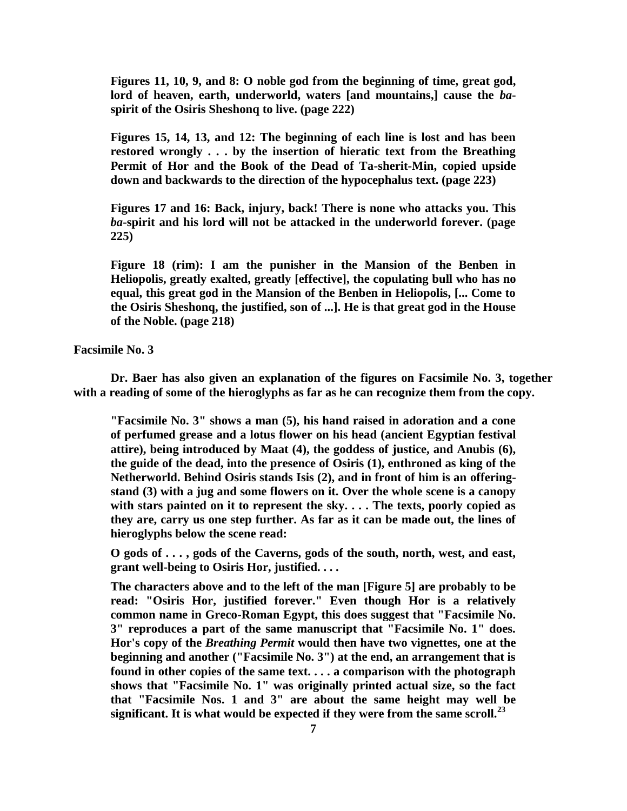**Figures 11, 10, 9, and 8: O noble god from the beginning of time, great god, lord of heaven, earth, underworld, waters [and mountains,] cause the** *ba***spirit of the Osiris Sheshonq to live. (page 222)**

**Figures 15, 14, 13, and 12: The beginning of each line is lost and has been restored wrongly . . . by the insertion of hieratic text from the Breathing Permit of Hor and the Book of the Dead of Ta-sherit-Min, copied upside down and backwards to the direction of the hypocephalus text. (page 223)**

**Figures 17 and 16: Back, injury, back! There is none who attacks you. This**  *ba***-spirit and his lord will not be attacked in the underworld forever. (page 225)**

**Figure 18 (rim): I am the punisher in the Mansion of the Benben in Heliopolis, greatly exalted, greatly [effective], the copulating bull who has no equal, this great god in the Mansion of the Benben in Heliopolis, [... Come to the Osiris Sheshonq, the justified, son of ...]. He is that great god in the House of the Noble. (page 218)**

**Facsimile No. 3** 

**Dr. Baer has also given an explanation of the figures on Facsimile No. 3, together with a reading of some of the hieroglyphs as far as he can recognize them from the copy.** 

**"Facsimile No. 3" shows a man (5), his hand raised in adoration and a cone of perfumed grease and a lotus flower on his head (ancient Egyptian festival attire), being introduced by Maat (4), the goddess of justice, and Anubis (6), the guide of the dead, into the presence of Osiris (1), enthroned as king of the Netherworld. Behind Osiris stands Isis (2), and in front of him is an offeringstand (3) with a jug and some flowers on it. Over the whole scene is a canopy with stars painted on it to represent the sky. . . . The texts, poorly copied as they are, carry us one step further. As far as it can be made out, the lines of hieroglyphs below the scene read:**

**O gods of . . . , gods of the Caverns, gods of the south, north, west, and east, grant well-being to Osiris Hor, justified. . . .**

**The characters above and to the left of the man [Figure 5] are probably to be read: "Osiris Hor, justified forever." Even though Hor is a relatively common name in Greco-Roman Egypt, this does suggest that "Facsimile No. 3" reproduces a part of the same manuscript that "Facsimile No. 1" does. Hor's copy of the** *Breathing Permit* **would then have two vignettes, one at the beginning and another ("Facsimile No. 3") at the end, an arrangement that is found in other copies of the same text. . . . a comparison with the photograph shows that "Facsimile No. 1" was originally printed actual size, so the fact that "Facsimile Nos. 1 and 3" are about the same height may well be significant. It is what would be expected if they were from the same scroll.<sup>23</sup>**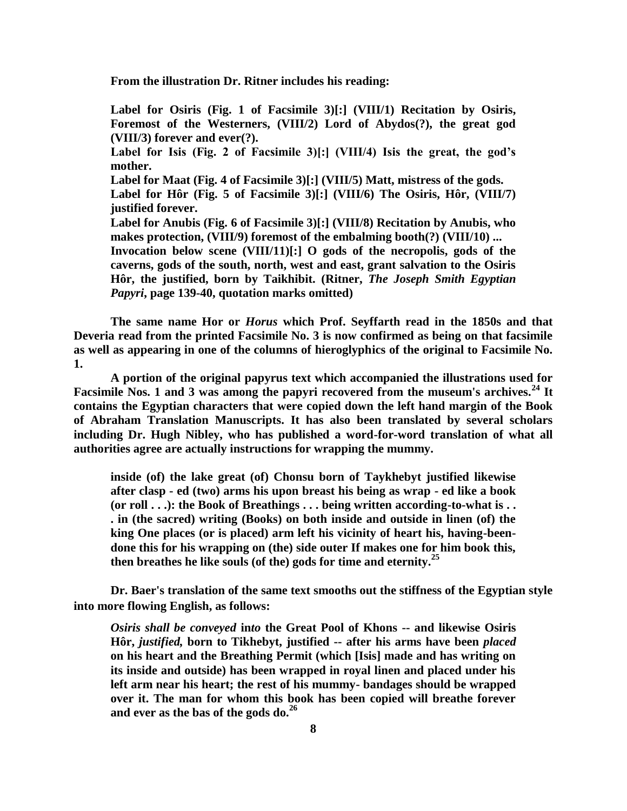**From the illustration Dr. Ritner includes his reading:**

**Label for Osiris (Fig. 1 of Facsimile 3)[:] (VIII/1) Recitation by Osiris, Foremost of the Westerners, (VIII/2) Lord of Abydos(?), the great god (VIII/3) forever and ever(?). Label for Isis (Fig. 2 of Facsimile 3)[:] (VIII/4) Isis the great, the god's mother. Label for Maat (Fig. 4 of Facsimile 3)[:] (VIII/5) Matt, mistress of the gods. Label for Hôr (Fig. 5 of Facsimile 3)[:] (VIII/6) The Osiris, Hôr, (VIII/7) justified forever. Label for Anubis (Fig. 6 of Facsimile 3)[:] (VIII/8) Recitation by Anubis, who makes protection, (VIII/9) foremost of the embalming booth(?) (VIII/10) ... Invocation below scene (VIII/11)[:] O gods of the necropolis, gods of the** 

**caverns, gods of the south, north, west and east, grant salvation to the Osiris Hôr, the justified, born by Taikhibit. (Ritner,** *The Joseph Smith Egyptian Papyri***, page 139-40, quotation marks omitted)**

**The same name Hor or** *Horus* **which Prof. Seyffarth read in the 1850s and that Deveria read from the printed Facsimile No. 3 is now confirmed as being on that facsimile as well as appearing in one of the columns of hieroglyphics of the original to Facsimile No. 1.** 

**A portion of the original papyrus text which accompanied the illustrations used for Facsimile Nos. 1 and 3 was among the papyri recovered from the museum's archives.<sup>24</sup> It contains the Egyptian characters that were copied down the left hand margin of the Book of Abraham Translation Manuscripts. It has also been translated by several scholars including Dr. Hugh Nibley, who has published a word-for-word translation of what all authorities agree are actually instructions for wrapping the mummy.** 

**inside (of) the lake great (of) Chonsu born of Taykhebyt justified likewise after clasp - ed (two) arms his upon breast his being as wrap - ed like a book (or roll . . .): the Book of Breathings . . . being written according-to-what is . . . in (the sacred) writing (Books) on both inside and outside in linen (of) the king One places (or is placed) arm left his vicinity of heart his, having-beendone this for his wrapping on (the) side outer If makes one for him book this, then breathes he like souls (of the) gods for time and eternity.<sup>25</sup>**

**Dr. Baer's translation of the same text smooths out the stiffness of the Egyptian style into more flowing English, as follows:** 

*Osiris shall be conveyed* **in***to* **the Great Pool of Khons -- and likewise Osiris Hôr,** *justified,* **born to Tikhebyt, justified -- after his arms have been** *placed* **on his heart and the Breathing Permit (which [Isis] made and has writing on its inside and outside) has been wrapped in royal linen and placed under his left arm near his heart; the rest of his mummy- bandages should be wrapped over it. The man for whom this book has been copied will breathe forever and ever as the bas of the gods do.<sup>26</sup>**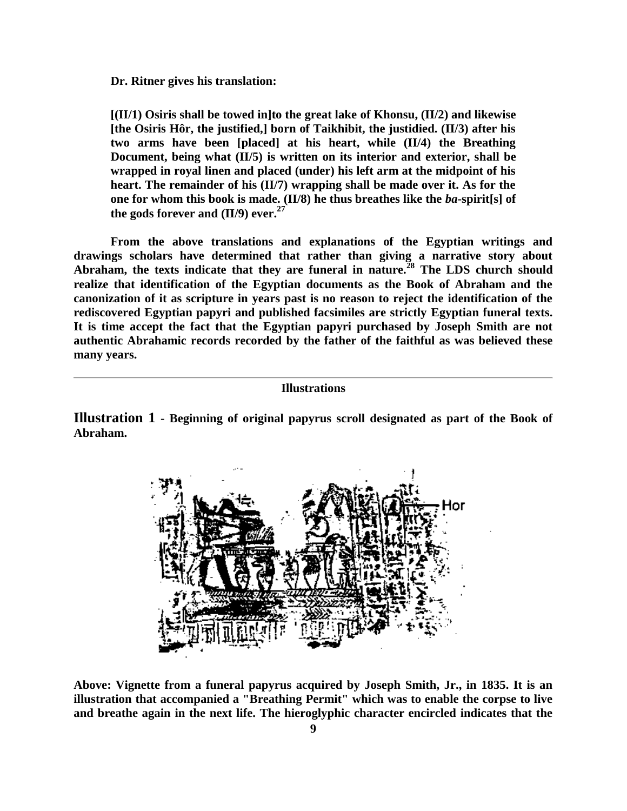**Dr. Ritner gives his translation:**

**[(II/1) Osiris shall be towed in]to the great lake of Khonsu, (II/2) and likewise [the Osiris Hôr, the justified,] born of Taikhibit, the justidied. (II/3) after his two arms have been [placed] at his heart, while (II/4) the Breathing Document, being what (II/5) is written on its interior and exterior, shall be wrapped in royal linen and placed (under) his left arm at the midpoint of his heart. The remainder of his (II/7) wrapping shall be made over it. As for the one for whom this book is made. (II/8) he thus breathes like the** *ba***-spirit[s] of the gods forever and (II/9) ever.<sup>27</sup>**

**From the above translations and explanations of the Egyptian writings and drawings scholars have determined that rather than giving a narrative story about Abraham, the texts indicate that they are funeral in nature.<sup>28</sup> The LDS church should realize that identification of the Egyptian documents as the Book of Abraham and the canonization of it as scripture in years past is no reason to reject the identification of the rediscovered Egyptian papyri and published facsimiles are strictly Egyptian funeral texts. It is time accept the fact that the Egyptian papyri purchased by Joseph Smith are not authentic Abrahamic records recorded by the father of the faithful as was believed these many years.** 

## **Illustrations**

**Illustration 1 - Beginning of original papyrus scroll designated as part of the Book of Abraham.** 



**Above: Vignette from a funeral papyrus acquired by Joseph Smith, Jr., in 1835. It is an illustration that accompanied a "Breathing Permit" which was to enable the corpse to live and breathe again in the next life. The hieroglyphic character encircled indicates that the**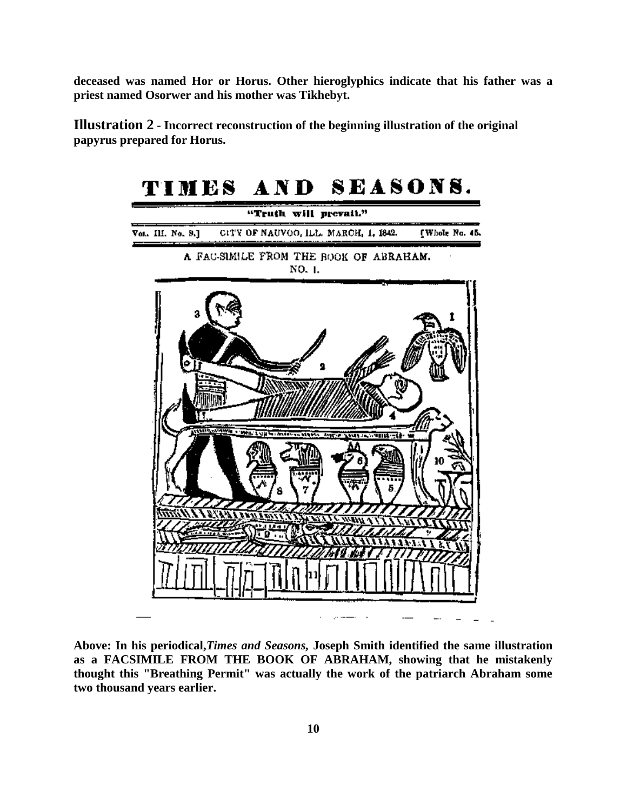**deceased was named Hor or Horus. Other hieroglyphics indicate that his father was a priest named Osorwer and his mother was Tikhebyt.** 

**Illustration 2 - Incorrect reconstruction of the beginning illustration of the original papyrus prepared for Horus.** 



**Above: In his periodical,***Times and Seasons,* **Joseph Smith identified the same illustration as a FACSIMILE FROM THE BOOK OF ABRAHAM, showing that he mistakenly thought this "Breathing Permit" was actually the work of the patriarch Abraham some two thousand years earlier.**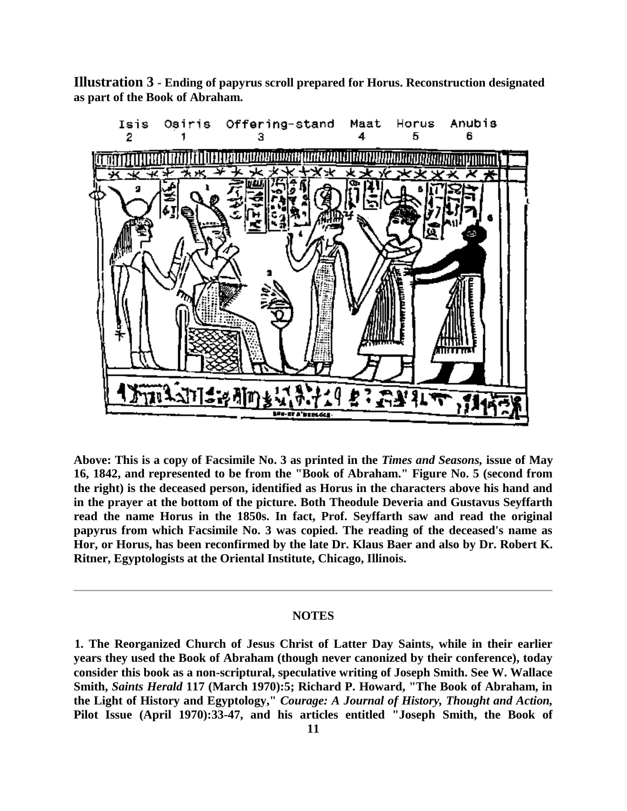**Illustration 3 - Ending of papyrus scroll prepared for Horus. Reconstruction designated as part of the Book of Abraham.** 



**Above: This is a copy of Facsimile No. 3 as printed in the** *Times and Seasons,* **issue of May 16, 1842, and represented to be from the "Book of Abraham." Figure No. 5 (second from the right) is the deceased person, identified as Horus in the characters above his hand and in the prayer at the bottom of the picture. Both Theodule Deveria and Gustavus Seyffarth read the name Horus in the 1850s. In fact, Prof. Seyffarth saw and read the original papyrus from which Facsimile No. 3 was copied. The reading of the deceased's name as Hor, or Horus, has been reconfirmed by the late Dr. Klaus Baer and also by Dr. Robert K. Ritner, Egyptologists at the Oriental Institute, Chicago, Illinois.** 

#### **NOTES**

**<sup>1.</sup> The Reorganized Church of Jesus Christ of Latter Day Saints, while in their earlier years they used the Book of Abraham (though never canonized by their conference), today consider this book as a non-scriptural, speculative writing of Joseph Smith. See W. Wallace Smith,** *Saints Herald* **117 (March 1970):5; Richard P. Howard, "The Book of Abraham, in the Light of History and Egyptology,"** *Courage: A Journal of History, Thought and Action,* **Pilot Issue (April 1970):33-47, and his articles entitled "Joseph Smith, the Book of**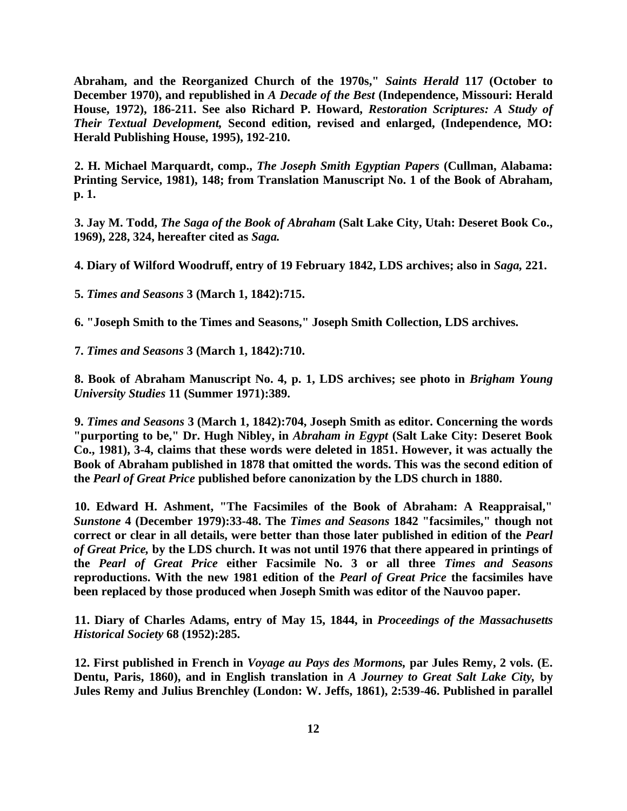**Abraham, and the Reorganized Church of the 1970s,"** *Saints Herald* **117 (October to December 1970), and republished in** *A Decade of the Best* **(Independence, Missouri: Herald House, 1972), 186-211. See also Richard P. Howard,** *Restoration Scriptures: A Study of Their Textual Development,* **Second edition, revised and enlarged, (Independence, MO: Herald Publishing House, 1995), 192-210.** 

**2. H. Michael Marquardt, comp.,** *The Joseph Smith Egyptian Papers* **(Cullman, Alabama: Printing Service, 1981), 148; from Translation Manuscript No. 1 of the Book of Abraham, p. 1.** 

**3. Jay M. Todd,** *The Saga of the Book of Abraham* **(Salt Lake City, Utah: Deseret Book Co., 1969), 228, 324, hereafter cited as** *Saga.*

**4. Diary of Wilford Woodruff, entry of 19 February 1842, LDS archives; also in** *Saga,* **221.** 

**5.** *Times and Seasons* **3 (March 1, 1842):715.** 

**6. "Joseph Smith to the Times and Seasons," Joseph Smith Collection, LDS archives.** 

**7.** *Times and Seasons* **3 (March 1, 1842):710.** 

**8. Book of Abraham Manuscript No. 4, p. 1, LDS archives; see photo in** *Brigham Young University Studies* **11 (Summer 1971):389.** 

**9.** *Times and Seasons* **3 (March 1, 1842):704, Joseph Smith as editor. Concerning the words "purporting to be," Dr. Hugh Nibley, in** *Abraham in Egypt* **(Salt Lake City: Deseret Book Co., 1981), 3-4, claims that these words were deleted in 1851. However, it was actually the Book of Abraham published in 1878 that omitted the words. This was the second edition of the** *Pearl of Great Price* **published before canonization by the LDS church in 1880.** 

**10. Edward H. Ashment, "The Facsimiles of the Book of Abraham: A Reappraisal,"**  *Sunstone* **4 (December 1979):33-48. The** *Times and Seasons* **1842 "facsimiles," though not correct or clear in all details, were better than those later published in edition of the** *Pearl of Great Price,* **by the LDS church. It was not until 1976 that there appeared in printings of the** *Pearl of Great Price* **either Facsimile No. 3 or all three** *Times and Seasons* **reproductions. With the new 1981 edition of the** *Pearl of Great Price* **the facsimiles have been replaced by those produced when Joseph Smith was editor of the Nauvoo paper.** 

**11. Diary of Charles Adams, entry of May 15, 1844, in** *Proceedings of the Massachusetts Historical Society* **68 (1952):285.** 

**12. First published in French in** *Voyage au Pays des Mormons,* **par Jules Remy, 2 vols. (E. Dentu, Paris, 1860), and in English translation in** *A Journey to Great Salt Lake City,* **by Jules Remy and Julius Brenchley (London: W. Jeffs, 1861), 2:539-46. Published in parallel**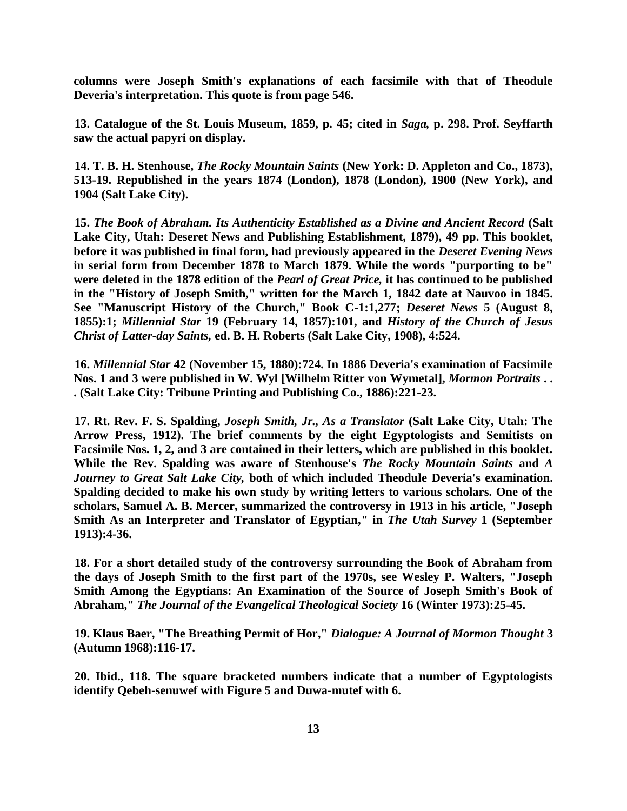**columns were Joseph Smith's explanations of each facsimile with that of Theodule Deveria's interpretation. This quote is from page 546.** 

**13. Catalogue of the St. Louis Museum, 1859, p. 45; cited in** *Saga,* **p. 298. Prof. Seyffarth saw the actual papyri on display.** 

**14. T. B. H. Stenhouse,** *The Rocky Mountain Saints* **(New York: D. Appleton and Co., 1873), 513-19. Republished in the years 1874 (London), 1878 (London), 1900 (New York), and 1904 (Salt Lake City).** 

**15.** *The Book of Abraham. Its Authenticity Established as a Divine and Ancient Record* **(Salt Lake City, Utah: Deseret News and Publishing Establishment, 1879), 49 pp. This booklet, before it was published in final form, had previously appeared in the** *Deseret Evening News* **in serial form from December 1878 to March 1879. While the words "purporting to be" were deleted in the 1878 edition of the** *Pearl of Great Price,* **it has continued to be published in the "History of Joseph Smith," written for the March 1, 1842 date at Nauvoo in 1845. See "Manuscript History of the Church," Book C-1:1,277;** *Deseret News* **5 (August 8, 1855):1;** *Millennial Star* **19 (February 14, 1857):101, and** *History of the Church of Jesus Christ of Latter-day Saints,* **ed. B. H. Roberts (Salt Lake City, 1908), 4:524.** 

**16.** *Millennial Star* **42 (November 15, 1880):724. In 1886 Deveria's examination of Facsimile Nos. 1 and 3 were published in W. Wyl [Wilhelm Ritter von Wymetal],** *Mormon Portraits* **. . . (Salt Lake City: Tribune Printing and Publishing Co., 1886):221-23.** 

**17. Rt. Rev. F. S. Spalding,** *Joseph Smith, Jr., As a Translator* **(Salt Lake City, Utah: The Arrow Press, 1912). The brief comments by the eight Egyptologists and Semitists on Facsimile Nos. 1, 2, and 3 are contained in their letters, which are published in this booklet. While the Rev. Spalding was aware of Stenhouse's** *The Rocky Mountain Saints* **and** *A Journey to Great Salt Lake City,* **both of which included Theodule Deveria's examination. Spalding decided to make his own study by writing letters to various scholars. One of the scholars, Samuel A. B. Mercer, summarized the controversy in 1913 in his article, "Joseph Smith As an Interpreter and Translator of Egyptian," in** *The Utah Survey* **1 (September 1913):4-36.** 

**18. For a short detailed study of the controversy surrounding the Book of Abraham from the days of Joseph Smith to the first part of the 1970s, see Wesley P. Walters, "Joseph Smith Among the Egyptians: An Examination of the Source of Joseph Smith's Book of Abraham,"** *The Journal of the Evangelical Theological Society* **16 (Winter 1973):25-45.** 

**19. Klaus Baer, "The Breathing Permit of Hor,"** *Dialogue: A Journal of Mormon Thought* **3 (Autumn 1968):116-17.** 

**20. Ibid., 118. The square bracketed numbers indicate that a number of Egyptologists identify Qebeh-senuwef with Figure 5 and Duwa-mutef with 6.**